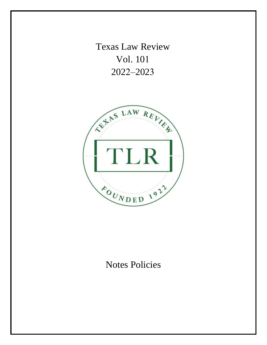Texas Law Review Vol. 101 2022–2023



# Notes Policies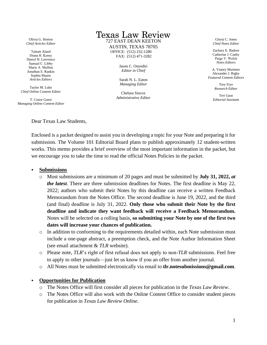Olivia G. Horton *Chief Articles Editor*

Taitum Aland Diana H. Kensy Daniel H. Lawrence Samuel C. Libby Marie A. Mullins Jonathan E. Rankin Sophia Shams *Articles Editors* 

Taylor M. Luke *Chief Online Content Editor* 

T. Conor Guest *Managing Online Content Editor* 

## **Texas Law Review**

727 EAST DEAN KEETON AUSTIN, TEXAS 78705 OFFICE: (512) 232-1280 FAX: (512) 471-3282

> Jason C. Onyediri *Editor in Chief*

Sarah N. L. Eaton *Managing Editor*

Chelsea Sincox *Administrative Editor*

Gloria C. Jones *Chief Notes Editor*

Zachary E. Badore Catherine J. Canby Paige V. Welch *Notes Editors* 

A. Vianey Martinez Alexander J. Rigby *Featured Content Editors* 

> Trey Frye *Research Editor*

Teri Gaus *Editorial Assistant* 

Dear Texas Law Students,

Enclosed is a packet designed to assist you in developing a topic for your Note and preparing it for submission. The Volume 101 Editorial Board plans to publish approximately 12 student-written works. This memo provides a brief overview of the most important information in the packet, but we encourage you to take the time to read the official Notes Policies in the packet.

#### **Submissions**

- o Most submissions are a minimum of 20 pages and must be submitted by **July 31, 2022,** *at the latest*. There are three submission deadlines for Notes. The first deadline is May 22, 2022; authors who submit their Notes by this deadline can receive a written Feedback Memorandum from the Notes Office. The second deadline is June 19, 2022, and the third (and final) deadline is July 31, 2022. **Only those who submit their Note by the first deadline and indicate they want feedback will receive a Feedback Memorandum.** Notes will be selected on a rolling basis, **so submitting your Note by one of the first two dates will increase your chances of publication.**
- o In addition to conforming to the requirements detailed within, each Note submission must include a one-page abstract, a preemption check, and the Note Author Information Sheet (see email attachment & *TLR* website).
- o Please note, *TLR*'s right of first refusal does not apply to non-*TLR* submissions. Feel free to apply to other journals—just let us know if you an offer from another journal.
- o All Notes must be submitted electronically via email to **tlr.notesubmissions@gmail.com**.

#### **Opportunities for Publication**

- o The Notes Office will first consider all pieces for publication in the *Texas Law Review*.
- o The Notes Office will also work with the Online Content Office to consider student pieces for publication in *Texas Law Review Online*.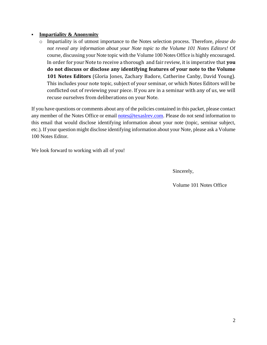#### **Impartiality & Anonymity**

o Impartiality is of utmost importance to the Notes selection process. Therefore, *please do not reveal any information about your Note topic to the Volume 101 Notes Editors!* Of course, discussing your Note topic with the Volume 100 Notes Office is highly encouraged. In order for your Note to receive a thorough and fair review, it is imperative that **you do not discuss or disclose any identifying features of your note to the Volume 101 Notes Editors** (Gloria Jones, Zachary Badore, Catherine Canby, David Young). This includes your note topic, subject of your seminar, or which Notes Editors will be conflicted out of reviewing your piece. If you are in a seminar with any of us, we will recuse ourselves from deliberations on your Note.

If you have questions or comments about any of the policies contained in this packet, please contact any member of the Notes Office or email [notes@texaslrev.com.](mailto:notes@texaslrev.com) Please do not send information to this email that would disclose identifying information about your note (topic, seminar subject, etc.). If your question might disclose identifying information about your Note, please ask a Volume 100 Notes Editor.

We look forward to working with all of you!

Sincerely,

Volume 101 Notes Office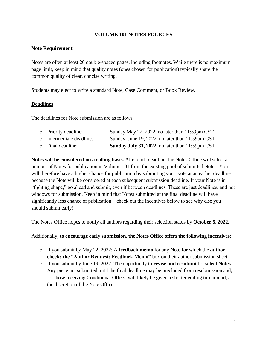#### **VOLUME 101 NOTES POLICIES**

#### **Note Requirement**

Notes are often at least 20 double-spaced pages, including footnotes. While there is no maximum page limit, keep in mind that quality notes (ones chosen for publication) typically share the common quality of clear, concise writing.

Students may elect to write a standard Note, Case Comment, or Book Review.

#### **Deadlines**

The deadlines for Note submission are as follows:

| $\circ$ Priority deadline: | Sunday May 22, 2022, no later than 11:59pm CST         |
|----------------------------|--------------------------------------------------------|
| o Intermediate deadline:   | Sunday, June 19, 2022, no later than 11:59pm CST       |
| $\circ$ Final deadline:    | <b>Sunday July 31, 2022, no later than 11:59pm CST</b> |

**Notes will be considered on a rolling basis.** After each deadline, the Notes Office will select a number of Notes for publication in Volume 101 from the existing pool of submitted Notes. You will therefore have a higher chance for publication by submitting your Note at an earlier deadline because the Note will be considered at each subsequent submission deadline. If your Note is in "fighting shape," go ahead and submit, even if between deadlines. These are just deadlines, and not windows for submission. Keep in mind that Notes submitted at the final deadline will have significantly less chance of publication—check out the incentives below to see why else you should submit early!

The Notes Office hopes to notify all authors regarding their selection status by **October 5, 2022.**

#### Additionally, **to encourage early submission, the Notes Office offers the following incentives:**

- o If you submit by May 22, 2022: A **feedback memo** for any Note for which the **author checks the "Author Requests Feedback Memo"** box on their author submission sheet.
- o If you submit by June 19, 2022: The opportunity to **revise and resubmit** for **select Notes**. Any piece not submitted until the final deadline may be precluded from resubmission and, for those receiving Conditional Offers, will likely be given a shorter editing turnaround, at the discretion of the Note Office.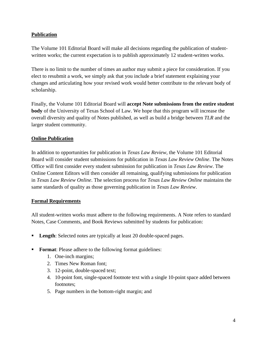#### **Publication**

The Volume 101 Editorial Board will make all decisions regarding the publication of studentwritten works; the current expectation is to publish approximately 12 student-written works.

There is no limit to the number of times an author may submit a piece for consideration. If you elect to resubmit a work, we simply ask that you include a brief statement explaining your changes and articulating how your revised work would better contribute to the relevant body of scholarship.

Finally, the Volume 101 Editorial Board will **accept Note submissions from the entire student body** of the University of Texas School of Law. We hope that this program will increase the overall diversity and quality of Notes published, as well as build a bridge between *TLR* and the larger student community.

#### **Online Publication**

In addition to opportunities for publication in *Texas Law Review*, the Volume 101 Editorial Board will consider student submissions for publication in *Texas Law Review Online*. The Notes Office will first consider every student submission for publication in *Texas Law Review*. The Online Content Editors will then consider all remaining, qualifying submissions for publication in *Texas Law Review Online*. The selection process for *Texas Law Review Online* maintains the same standards of quality as those governing publication in *Texas Law Review*.

#### **Formal Requirements**

All student-written works must adhere to the following requirements. A Note refers to standard Notes, Case Comments, and Book Reviews submitted by students for publication:

- **Length:** Selected notes are typically at least 20 double-spaced pages.
- **Format:** Please adhere to the following format guidelines:
	- 1. One-inch margins;
	- 2. Times New Roman font;
	- 3. 12-point, double-spaced text;
	- 4. 10-point font, single-spaced footnote text with a single 10-point space added between footnotes;
	- 5. Page numbers in the bottom-right margin; and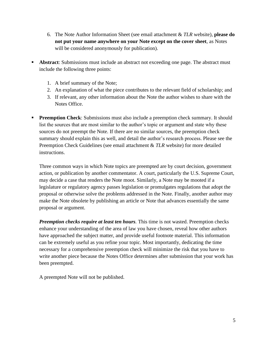- 6. The Note Author Information Sheet (see email attachment & *TLR* website), **please do not put your name anywhere on your Note except on the cover sheet**, as Notes will be considered anonymously for publication).
- **EXECUTE:** Abstract: Submissions must include an abstract not exceeding one page. The abstract must include the following three points:
	- 1. A brief summary of the Note;
	- 2. An explanation of what the piece contributes to the relevant field of scholarship; and
	- 3. If relevant, any other information about the Note the author wishes to share with the Notes Office.
- **Preemption Check**: Submissions must also include a preemption check summary. It should list the sources that are most similar to the author's topic or argument and state why these sources do not preempt the Note. If there are no similar sources, the preemption check summary should explain this as well, and detail the author's research process. Please see the Preemption Check Guidelines (see email attachment & *TLR* website) for more detailed instructions.

Three common ways in which Note topics are preempted are by court decision, government action, or publication by another commentator. A court, particularly the U.S. Supreme Court, may decide a case that renders the Note moot. Similarly, a Note may be mooted if a legislature or regulatory agency passes legislation or promulgates regulations that adopt the proposal or otherwise solve the problems addressed in the Note. Finally, another author may make the Note obsolete by publishing an article or Note that advances essentially the same proposal or argument.

*Preemption checks require at least ten hours.* This time is not wasted. Preemption checks enhance your understanding of the area of law you have chosen, reveal how other authors have approached the subject matter, and provide useful footnote material. This information can be extremely useful as you refine your topic. Most importantly, dedicating the time necessary for a comprehensive preemption check will minimize the risk that you have to write another piece because the Notes Office determines after submission that your work has been preempted.

A preempted Note will not be published.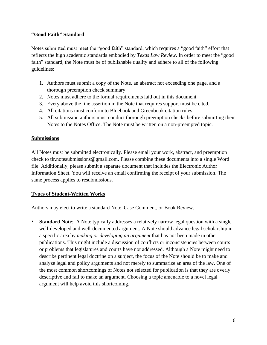#### **"Good Faith" Standard**

Notes submitted must meet the "good faith" standard, which requires a "good faith" effort that reflects the high academic standards embodied by *Texas Law Review*. In order to meet the "good faith" standard, the Note must be of publishable quality and adhere to all of the following guidelines:

- 1. Authors must submit a copy of the Note, an abstract not exceeding one page, and a thorough preemption check summary.
- 2. Notes must adhere to the formal requirements laid out in this document.
- 3. Every above the line assertion in the Note that requires support must be cited.
- 4. All citations must conform to Bluebook and Greenbook citation rules.
- 5. All submission authors must conduct thorough preemption checks before submitting their Notes to the Notes Office. The Note must be written on a non-preempted topic.

#### **Submissions**

All Notes must be submitted electronically. Please email your work, abstract, and preemption check to tlr.notesubmissions@gmail.com. Please combine these documents into a single Word file. Additionally, please submit a separate document that includes the Electronic Author Information Sheet. You will receive an email confirming the receipt of your submission. The same process applies to resubmissions.

#### **Types of Student-Written Works**

Authors may elect to write a standard Note, Case Comment, or Book Review.

**Example 1 Standard Note:** A Note typically addresses a relatively narrow legal question with a single well-developed and well-documented argument. A Note should advance legal scholarship in a specific area by *making or developing an argument* that has not been made in other publications. This might include a discussion of conflicts or inconsistencies between courts or problems that legislatures and courts have not addressed. Although a Note might need to describe pertinent legal doctrine on a subject, the focus of the Note should be to make and analyze legal and policy arguments and not merely to summarize an area of the law. One of the most common shortcomings of Notes not selected for publication is that they are overly descriptive and fail to make an argument. Choosing a topic amenable to a novel legal argument will help avoid this shortcoming.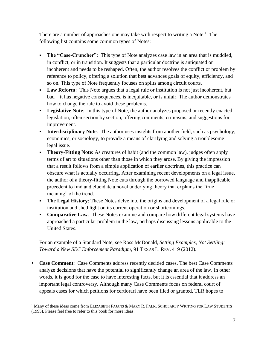There are a number of approaches one may take with respect to writing a Note.<sup>1</sup> The following list contains some common types of Notes:

- **The "Case-Cruncher"**: This type of Note analyzes case law in an area that is muddled, in conflict, or in transition. It suggests that a particular doctrine is antiquated or incoherent and needs to be reshaped. Often, the author resolves the conflict or problem by reference to policy, offering a solution that best advances goals of equity, efficiency, and so on. This type of Note frequently focuses on splits among circuit courts.
- **Law Reform**: This Note argues that a legal rule or institution is not just incoherent, but bad—it has negative consequences, is inequitable, or is unfair. The author demonstrates how to change the rule to avoid these problems.
- **Legislative Note**: In this type of Note, the author analyzes proposed or recently enacted legislation, often section by section, offering comments, criticisms, and suggestions for improvement.
- **Interdisciplinary Note:** The author uses insights from another field, such as psychology, economics, or sociology, to provide a means of clarifying and solving a troublesome legal issue.
- **Theory-Fitting Note:** As creatures of habit (and the common law), judges often apply terms of art to situations other than those in which they arose. By giving the impression that a result follows from a simple application of earlier doctrines, this practice can obscure what is actually occurring. After examining recent developments on a legal issue, the author of a theory-fitting Note cuts through the borrowed language and inapplicable precedent to find and elucidate a novel underlying theory that explains the "true meaning" of the trend.
- **The Legal History:** These Notes delve into the origins and development of a legal rule or institution and shed light on its current operation or shortcomings.
- **Comparative Law**: These Notes examine and compare how different legal systems have approached a particular problem in the law, perhaps discussing lessons applicable to the United States.

For an example of a Standard Note, see Ross McDonald, *Setting Examples, Not Settling: Toward a New SEC Enforcement Paradigm*, 91 TEXAS L. REV. 419 (2012).

▪ **Case Comment**: Case Comments address recently decided cases. The best Case Comments analyze decisions that have the potential to significantly change an area of the law. In other words, it is good for the case to have interesting facts, but it is essential that it address an important legal controversy. Although many Case Comments focus on federal court of appeals cases for which petitions for certiorari have been filed or granted, TLR hopes to

<sup>&</sup>lt;sup>1</sup> Many of these ideas come from ELIZABETH FAJANS & MARY R. FALK, SCHOLARLY WRITING FOR LAW STUDENTS (1995). Please feel free to refer to this book for more ideas.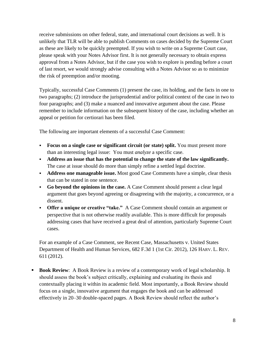receive submissions on other federal, state, and international court decisions as well. It is unlikely that TLR will be able to publish Comments on cases decided by the Supreme Court as these are likely to be quickly preempted. If you wish to write on a Supreme Court case, please speak with your Notes Advisor first. It is not generally necessary to obtain express approval from a Notes Advisor, but if the case you wish to explore is pending before a court of last resort, we would strongly advise consulting with a Notes Advisor so as to minimize the risk of preemption and/or mooting.

Typically, successful Case Comments (1) present the case, its holding, and the facts in one to two paragraphs; (2) introduce the jurisprudential and/or political context of the case in two to four paragraphs; and (3) make a nuanced and innovative argument about the case. Please remember to include information on the subsequent history of the case, including whether an appeal or petition for certiorari has been filed.

The following are important elements of a successful Case Comment:

- **Focus on a single case or significant circuit (or state) split.** You must present more than an interesting legal issue: You must *analyze* a specific case.
- **Address an issue that has the potential to change the state of the law significantly.**  The case at issue should do more than simply refine a settled legal doctrine.
- **Address one manageable issue.** Most good Case Comments have a simple, clear thesis that can be stated in one sentence.
- **Go beyond the opinions in the case.** A Case Comment should present a clear legal argument that goes beyond agreeing or disagreeing with the majority, a concurrence, or a dissent.
- **Offer a unique or creative "take."** A Case Comment should contain an argument or perspective that is not otherwise readily available. This is more difficult for proposals addressing cases that have received a great deal of attention, particularly Supreme Court cases.

For an example of a Case Comment, see Recent Case, Massachusetts v. United States Department of Health and Human Services*,* 682 F.3d 1 (1st Cir. 2012), 126 HARV. L. REV. 611 (2012).

**Book Review**: A Book Review is a review of a contemporary work of legal scholarship. It should assess the book's subject critically, explaining and evaluating its thesis and contextually placing it within its academic field. Most importantly, a Book Review should focus on a single, innovative argument that engages the book and can be addressed effectively in 20–30 double-spaced pages. A Book Review should reflect the author's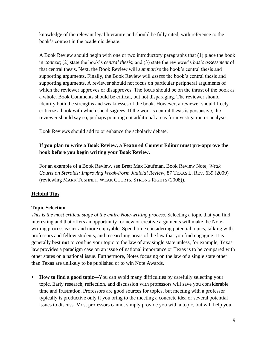knowledge of the relevant legal literature and should be fully cited, with reference to the book's context in the academic debate.

A Book Review should begin with one or two introductory paragraphs that (1) place the book in *context*; (2) state the book's *central thesis*; and (3) state the reviewer's *basic assessment* of that central thesis. Next, the Book Review will *summarize* the book's central thesis and supporting arguments. Finally, the Book Review will *assess* the book's central thesis and supporting arguments. A reviewer should not focus on particular peripheral arguments of which the reviewer approves or disapproves. The focus should be on the thrust of the book as a whole. Book Comments should be critical, but not disparaging. The reviewer should identify both the strengths and weaknesses of the book. However, a reviewer should freely criticize a book with which she disagrees. If the work's central thesis is persuasive, the reviewer should say so, perhaps pointing out additional areas for investigation or analysis.

Book Reviews should add to or enhance the scholarly debate.

## **If you plan to write a Book Review, a Featured Content Editor must pre-approve the book before you begin writing your Book Review.**

For an example of a Book Review, see Brett Max Kaufman, Book Review Note, *Weak Courts on Steroids: Improving Weak-Form Judicial Review*, 87 TEXAS L. REV. 639 (2009) (reviewing MARK TUSHNET, WEAK COURTS, STRONG RIGHTS (2008)).

## **Helpful Tips**

## **Topic Selection**

*This is the most critical stage of the entire Note-writing process*. Selecting a topic that you find interesting and that offers an opportunity for new or creative arguments will make the Notewriting process easier and more enjoyable. Spend time considering potential topics, talking with professors and fellow students, and researching areas of the law that you find engaging. It is generally best **not** to confine your topic to the law of any single state unless, for example, Texas law provides a paradigm case on an issue of national importance or Texas is to be compared with other states on a national issue. Furthermore, Notes focusing on the law of a single state other than Texas are unlikely to be published or to win Note Awards.

■ **How to find a good topic**—You can avoid many difficulties by carefully selecting your topic. Early research, reflection, and discussion with professors will save you considerable time and frustration. Professors are good sources for topics, but meeting with a professor typically is productive only if you bring to the meeting a concrete idea or several potential issues to discuss. Most professors cannot simply provide you with a topic, but will help you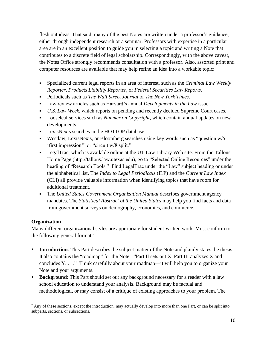flesh out ideas. That said, many of the best Notes are written under a professor's guidance, either through independent research or a seminar. Professors with expertise in a particular area are in an excellent position to guide you in selecting a topic and writing a Note that contributes to a discrete field of legal scholarship. Correspondingly, with the above caveat, the Notes Office strongly recommends consultation with a professor. Also, assorted print and computer resources are available that may help refine an idea into a workable topic:

- Specialized current legal reports in an area of interest, such as the *Criminal Law Weekly Reporter*, *Products Liability Reporter*, or *Federal Securities Law Reports*.
- Periodicals such as *The Wall Street Journal* or *The New York Times*.
- Law review articles such as Harvard's annual *Developments in the Law* issue.
- *U.S. Law Week*, which reports on pending and recently decided Supreme Court cases.
- Looseleaf services such as *Nimmer on Copyright*, which contain annual updates on new developments.
- LexisNexis searches in the HOTTOP database.
- Westlaw, LexisNexis, or Bloomberg searches using key words such as "question w/5 'first impression'" or "circuit w/8 split."
- LegalTrac, which is available online at the UT Law Library Web site. From the Tallons Home Page (http://tallons.law.utexas.edu), go to "Selected Online Resources" under the heading of "Research Tools." Find LegalTrac under the "Law" subject heading or under the alphabetical list. The *Index to Legal Periodicals* (ILP) and the *Current Law Index* (CLI) all provide valuable information when identifying topics that have room for additional treatment.
- **The United States Government Organization Manual describes government agency** mandates. The *Statistical Abstract of the United States* may help you find facts and data from government surveys on demography, economics, and commerce.

## **Organization**

Many different organizational styles are appropriate for student-written work. Most conform to the following general format: $<sup>2</sup>$ </sup>

- **Introduction:** This Part describes the subject matter of the Note and plainly states the thesis. It also contains the "roadmap" for the Note: "Part II sets out X. Part III analyzes X and concludes Y. . . ." Think carefully about your roadmap—it will help you to organize your Note and your arguments.
- **Background:** This Part should set out any background necessary for a reader with a law school education to understand your analysis. Background may be factual and methodological, or may consist of a critique of existing approaches to your problem. The

<sup>&</sup>lt;sup>2</sup> Any of these sections, except the introduction, may actually develop into more than one Part, or can be split into subparts, sections, or subsections.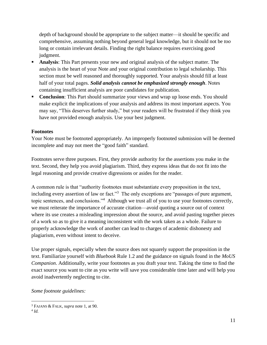depth of background should be appropriate to the subject matter—it should be specific and comprehensive, assuming nothing beyond general legal knowledge, but it should not be *too* long or contain irrelevant details. Finding the right balance requires exercising good judgment.

- **Analysis:** This Part presents your new and original analysis of the subject matter. The analysis is the heart of your Note and your original contribution to legal scholarship. This section must be well reasoned and thoroughly supported. Your analysis should fill at least half of your total pages. *Solid analysis cannot be emphasized strongly enough*. Notes containing insufficient analysis are poor candidates for publication.
- **Conclusion:** This Part should summarize your views and wrap up loose ends. You should make explicit the implications of your analysis and address its most important aspects. You may say, "This deserves further study," but your readers will be frustrated if they think you have not provided enough analysis. Use your best judgment.

#### **Footnotes**

Your Note must be footnoted appropriately. An improperly footnoted submission will be deemed incomplete and may not meet the "good faith" standard.

Footnotes serve three purposes. First, they provide authority for the assertions you make in the text. Second, they help you avoid plagiarism. Third, they express ideas that do not fit into the legal reasoning and provide creative digressions or asides for the reader.

A common rule is that "authority footnotes must substantiate every proposition in the text, including every assertion of law or fact."<sup>3</sup> The only exceptions are "passages of pure argument, topic sentences, and conclusions."<sup>4</sup> Although we trust all of you to use your footnotes correctly, we must reiterate the importance of accurate citation—avoid quoting a source out of context where its use creates a misleading impression about the source, and avoid pasting together pieces of a work so as to give it a meaning inconsistent with the work taken as a whole. Failure to properly acknowledge the work of another can lead to charges of academic dishonesty and plagiarism, even without intent to deceive.

Use proper signals, especially when the source does not squarely support the proposition in the text. Familiarize yourself with *Bluebook* Rule 1.2 and the guidance on signals found in the *MoUS Companion*. Additionally, write your footnotes as you draft your text. Taking the time to find the exact source you want to cite as you write will save you considerable time later and will help you avoid inadvertently neglecting to cite.

*Some footnote guidelines:*

<sup>3</sup> FAJANS & FALK, *supra* note 1, at 90.

<sup>4</sup> *Id.*